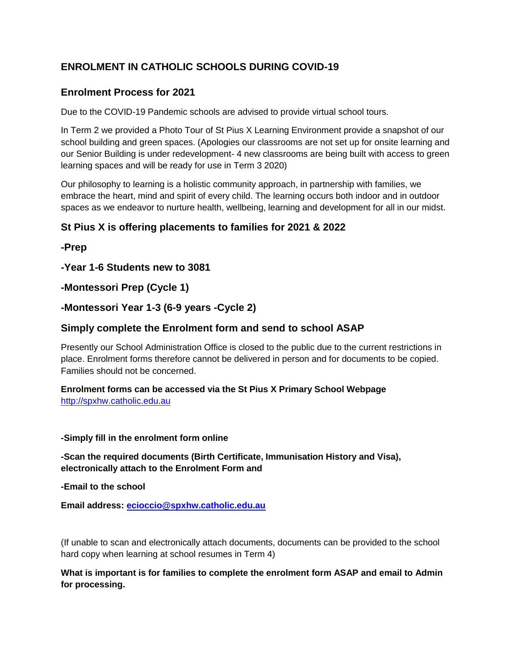# **ENROLMENT IN CATHOLIC SCHOOLS DURING COVID-19**

## **Enrolment Process for 2021**

Due to the COVID-19 Pandemic schools are advised to provide virtual school tours.

In Term 2 we provided a Photo Tour of St Pius X Learning Environment provide a snapshot of our school building and green spaces. (Apologies our classrooms are not set up for onsite learning and our Senior Building is under redevelopment- 4 new classrooms are being built with access to green learning spaces and will be ready for use in Term 3 2020)

Our philosophy to learning is a holistic community approach, in partnership with families, we embrace the heart, mind and spirit of every child. The learning occurs both indoor and in outdoor spaces as we endeavor to nurture health, wellbeing, learning and development for all in our midst.

### **St Pius X is offering placements to families for 2021 & 2022**

**-Prep** 

**-Year 1-6 Students new to 3081**

**-Montessori Prep (Cycle 1)**

### **-Montessori Year 1-3 (6-9 years -Cycle 2)**

### **Simply complete the Enrolment form and send to school ASAP**

Presently our School Administration Office is closed to the public due to the current restrictions in place. Enrolment forms therefore cannot be delivered in person and for documents to be copied. Families should not be concerned.

**Enrolment forms can be accessed via the St Pius X Primary School Webpage**  [http://spxhw.catholic.edu.au](http://spxhw.catholic.edu.au/)

#### **-Simply fill in the enrolment form online**

**-Scan the required documents (Birth Certificate, Immunisation History and Visa), electronically attach to the Enrolment Form and** 

**-Email to the school**

**Email address: [ecioccio@spxhw.catholic.edu.au](mailto:ecioccio@spxhw.catholic.edu.au)**

(If unable to scan and electronically attach documents, documents can be provided to the school hard copy when learning at school resumes in Term 4)

**What is important is for families to complete the enrolment form ASAP and email to Admin for processing.**